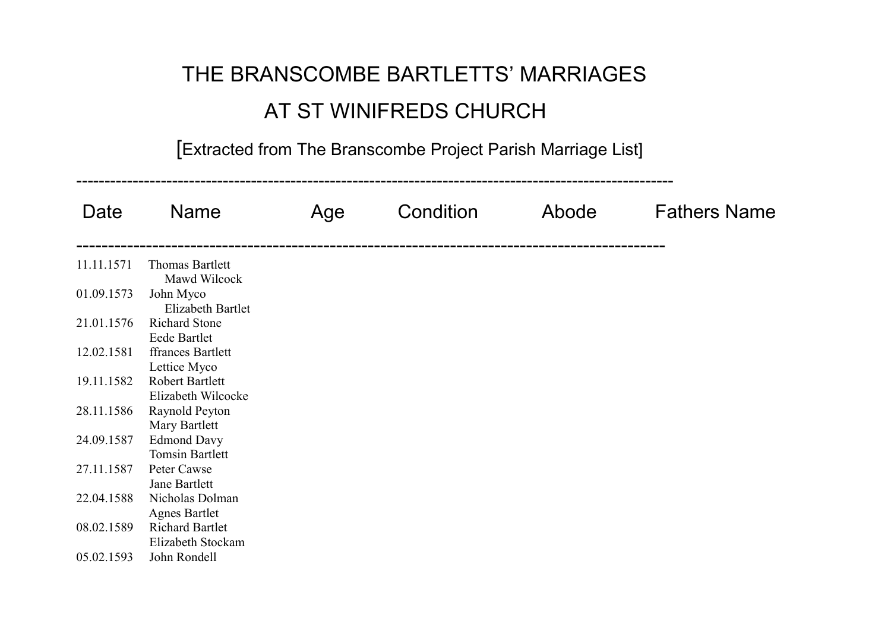## THE BRANSCOMBE BARTLETTS' MARRIAGES AT ST WINIFREDS CHURCH

[Extracted from The Branscombe Project Parish Marriage List]

----------------------------------------------------------------------------------------------------------

| Date       | <b>Name</b>                                  | Age | Condition | Abode | <b>Fathers Name</b> |
|------------|----------------------------------------------|-----|-----------|-------|---------------------|
|            |                                              |     |           |       |                     |
| 11.11.1571 | Thomas Bartlett<br>Mawd Wilcock              |     |           |       |                     |
| 01.09.1573 | John Myco<br><b>Elizabeth Bartlet</b>        |     |           |       |                     |
| 21.01.1576 | <b>Richard Stone</b><br>Eede Bartlet         |     |           |       |                     |
| 12.02.1581 | ffrances Bartlett<br>Lettice Myco            |     |           |       |                     |
| 19.11.1582 | Robert Bartlett<br>Elizabeth Wilcocke        |     |           |       |                     |
| 28.11.1586 | Raynold Peyton<br>Mary Bartlett              |     |           |       |                     |
| 24.09.1587 | <b>Edmond Davy</b><br><b>Tomsin Bartlett</b> |     |           |       |                     |
| 27.11.1587 | Peter Cawse<br>Jane Bartlett                 |     |           |       |                     |
| 22.04.1588 | Nicholas Dolman<br><b>Agnes Bartlet</b>      |     |           |       |                     |
| 08.02.1589 | <b>Richard Bartlet</b><br>Elizabeth Stockam  |     |           |       |                     |
| 05.02.1593 | John Rondell                                 |     |           |       |                     |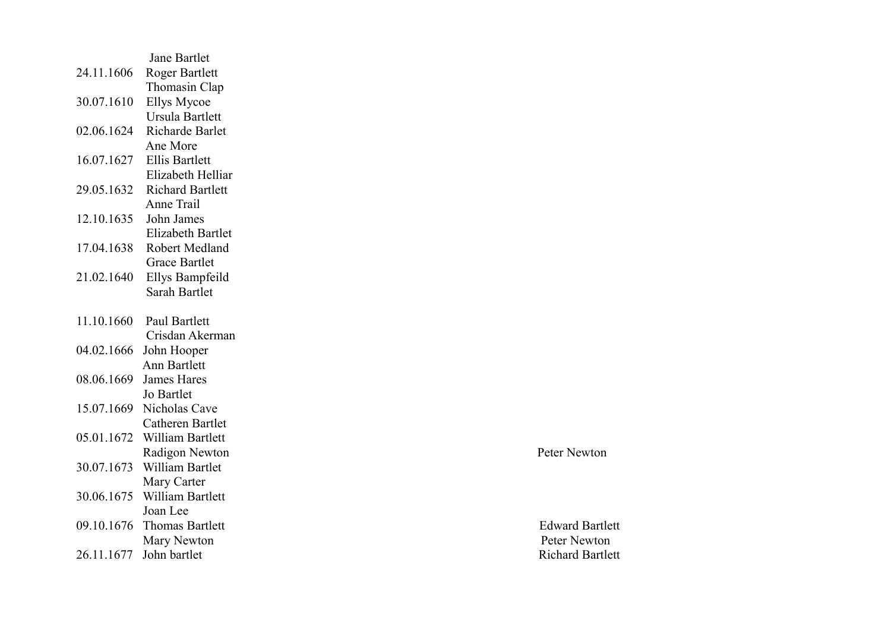|            | <b>Jane Bartlet</b>         |
|------------|-----------------------------|
| 24.11.1606 | <b>Roger Bartlett</b>       |
|            | Thomasin Clap               |
| 30.07.1610 | <b>Ellys Mycoe</b>          |
|            | <b>Ursula Bartlett</b>      |
| 02.06.1624 | <b>Richarde Barlet</b>      |
|            | Ane More                    |
| 16.07.1627 | <b>Ellis Bartlett</b>       |
|            | Elizabeth Helliar           |
| 29.05.1632 | <b>Richard Bartlett</b>     |
|            | <b>Anne Trail</b>           |
| 12.10.1635 | John James                  |
|            | <b>Elizabeth Bartlet</b>    |
| 17.04.1638 | <b>Robert Medland</b>       |
|            | <b>Grace Bartlet</b>        |
| 21.02.1640 | Ellys Bampfeild             |
|            | <b>Sarah Bartlet</b>        |
|            |                             |
| 11.10.1660 | <b>Paul Bartlett</b>        |
|            | Crisdan Akerman             |
| 04.02.1666 | John Hooper                 |
|            | Ann Bartlett                |
| 08.06.1669 | <b>James Hares</b>          |
|            | <b>Jo Bartlet</b>           |
| 15.07.1669 | Nicholas Cave               |
|            | <b>Catheren Bartlet</b>     |
| 05.01.1672 | William Bartlett            |
|            | Radigon Newton              |
| 30.07.1673 | William Bartlet             |
|            | Mary Carter                 |
| 30.06.1675 | William Bartlett            |
|            | Joan Lee                    |
| 09.10.1676 | <b>Thomas Bartlett</b>      |
|            |                             |
| 26.11.1677 | Mary Newton<br>John bartlet |

Peter Newton

Edward Bartlett Peter Newton Richard Bartlett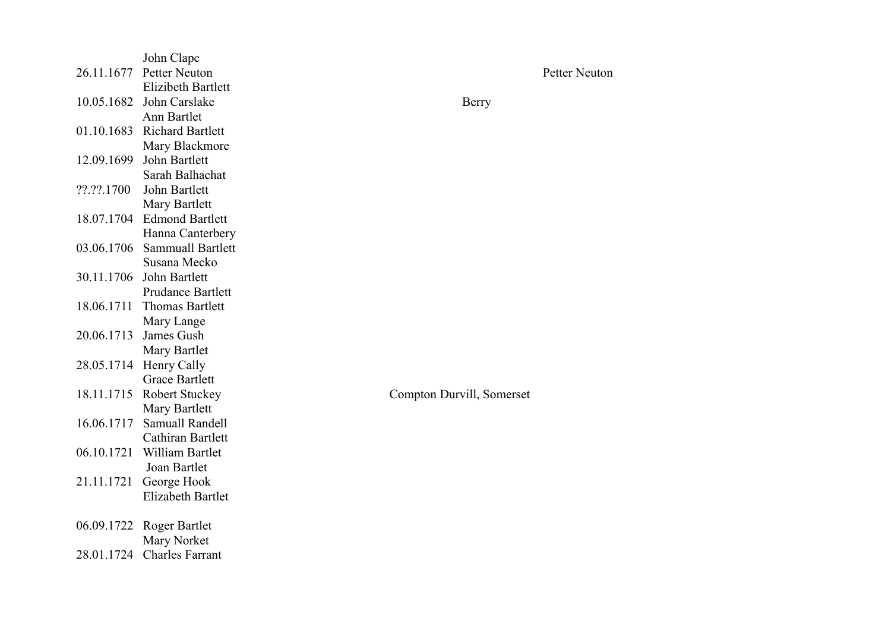|            | John Clape               |                     |
|------------|--------------------------|---------------------|
| 26.11.1677 | Petter Neuton            |                     |
|            | Elizibeth Bartlett       |                     |
| 10.05.1682 | John Carslake            | Berry               |
|            | Ann Bartlet              |                     |
| 01.10.1683 | <b>Richard Bartlett</b>  |                     |
|            | Mary Blackmore           |                     |
| 12.09.1699 | John Bartlett            |                     |
|            | Sarah Balhachat          |                     |
| ??.??.1700 | John Bartlett            |                     |
|            | Mary Bartlett            |                     |
| 18.07.1704 | <b>Edmond Bartlett</b>   |                     |
|            | Hanna Canterbery         |                     |
| 03.06.1706 | Sammuall Bartlett        |                     |
|            | Susana Mecko             |                     |
| 30.11.1706 | John Bartlett            |                     |
|            | Prudance Bartlett        |                     |
| 18.06.1711 | <b>Thomas Bartlett</b>   |                     |
|            | Mary Lange               |                     |
| 20.06.1713 | James Gush               |                     |
|            | Mary Bartlet             |                     |
| 28.05.1714 | Henry Cally              |                     |
|            | <b>Grace Bartlett</b>    |                     |
| 18.11.1715 | Robert Stuckey           | Compton Durvill, So |
|            | Mary Bartlett            |                     |
| 16.06.1717 | Samuall Randell          |                     |
|            | Cathiran Bartlett        |                     |
| 06.10.1721 | William Bartlet          |                     |
|            | Joan Bartlet             |                     |
| 21.11.1721 | George Hook              |                     |
|            | <b>Elizabeth Bartlet</b> |                     |
| 06.09.1722 | <b>Roger Bartlet</b>     |                     |
|            | Mary Norket              |                     |
| 28.01.1724 | <b>Charles Farrant</b>   |                     |

Petter Neuton

Compton Durvill, Somerset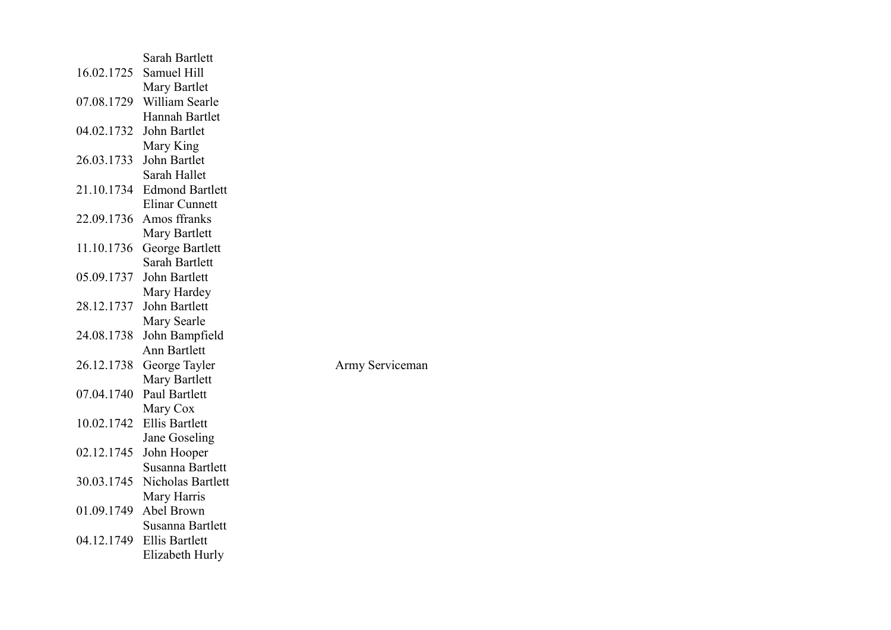|            | Sarah Bartlett         |
|------------|------------------------|
| 16.02.1725 | <b>Samuel Hill</b>     |
|            | Mary Bartlet           |
| 07.08.1729 | William Searle         |
|            | <b>Hannah Bartlet</b>  |
| 04.02.1732 | <b>John Bartlet</b>    |
|            | Mary King              |
| 26.03.1733 | <b>John Bartlet</b>    |
|            | Sarah Hallet           |
| 21.10.1734 | <b>Edmond Bartlett</b> |
|            | <b>Elinar Cunnett</b>  |
| 22.09.1736 | Amos ffranks           |
|            | Mary Bartlett          |
| 11.10.1736 | George Bartlett        |
|            | <b>Sarah Bartlett</b>  |
| 05.09.1737 | John Bartlett          |
|            | Mary Hardey            |
| 28.12.1737 | John Bartlett          |
|            | Mary Searle            |
| 24.08.1738 | John Bampfield         |
|            | Ann Bartlett           |
| 26.12.1738 | George Tayler          |
|            | Mary Bartlett          |
| 07.04.1740 | <b>Paul Bartlett</b>   |
|            | Mary Cox               |
| 10.02.1742 | <b>Ellis Bartlett</b>  |
|            | Jane Goseling          |
| 02.12.1745 | John Hooper            |
|            | Susanna Bartlett       |
| 30.03.1745 | Nicholas Bartlett      |
|            | Mary Harris            |
| 01.09.1749 | Abel Brown             |
|            | Susanna Bartlett       |
| 04.12.1749 | <b>Ellis Bartlett</b>  |
|            | Elizabeth Hurly        |

Army Serviceman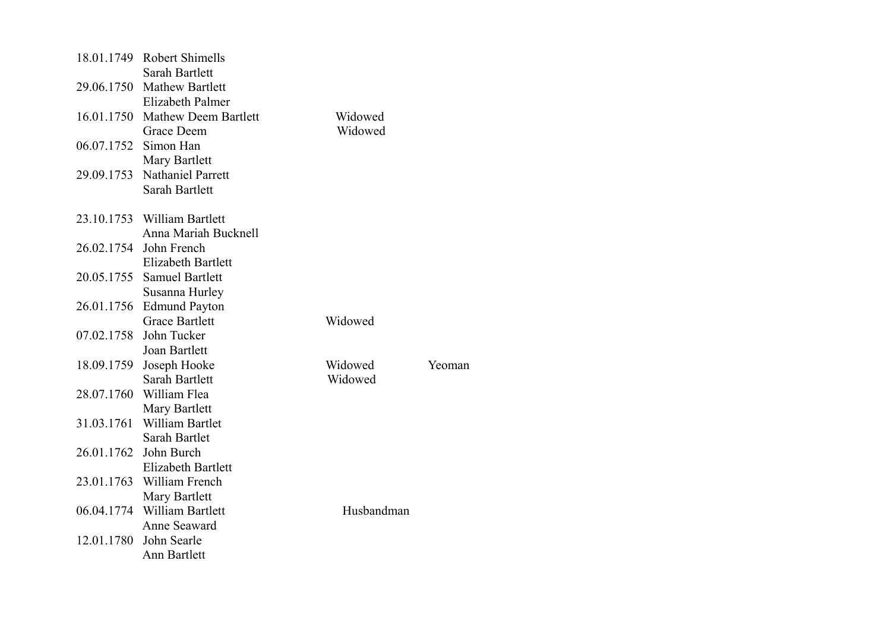|            | 18.01.1749 Robert Shimells  |            |        |
|------------|-----------------------------|------------|--------|
|            | Sarah Bartlett              |            |        |
| 29.06.1750 | <b>Mathew Bartlett</b>      |            |        |
|            | Elizabeth Palmer            |            |        |
| 16.01.1750 | <b>Mathew Deem Bartlett</b> | Widowed    |        |
|            | Grace Deem                  | Widowed    |        |
| 06.07.1752 | Simon Han                   |            |        |
|            | Mary Bartlett               |            |        |
| 29.09.1753 | Nathaniel Parrett           |            |        |
|            | <b>Sarah Bartlett</b>       |            |        |
|            |                             |            |        |
|            | 23.10.1753 William Bartlett |            |        |
|            | Anna Mariah Bucknell        |            |        |
|            | 26.02.1754 John French      |            |        |
|            | <b>Elizabeth Bartlett</b>   |            |        |
|            | 20.05.1755 Samuel Bartlett  |            |        |
|            | Susanna Hurley              |            |        |
| 26.01.1756 | <b>Edmund Payton</b>        |            |        |
|            | <b>Grace Bartlett</b>       | Widowed    |        |
| 07.02.1758 | John Tucker                 |            |        |
|            | Joan Bartlett               |            |        |
| 18.09.1759 | Joseph Hooke                | Widowed    | Yeoman |
|            | Sarah Bartlett              | Widowed    |        |
|            | 28.07.1760 William Flea     |            |        |
|            | Mary Bartlett               |            |        |
| 31.03.1761 | William Bartlet             |            |        |
|            | Sarah Bartlet               |            |        |
| 26.01.1762 | John Burch                  |            |        |
|            | <b>Elizabeth Bartlett</b>   |            |        |
| 23.01.1763 | William French              |            |        |
|            | Mary Bartlett               |            |        |
| 06.04.1774 | William Bartlett            | Husbandman |        |
|            | Anne Seaward                |            |        |
| 12.01.1780 | John Searle                 |            |        |
|            | Ann Bartlett                |            |        |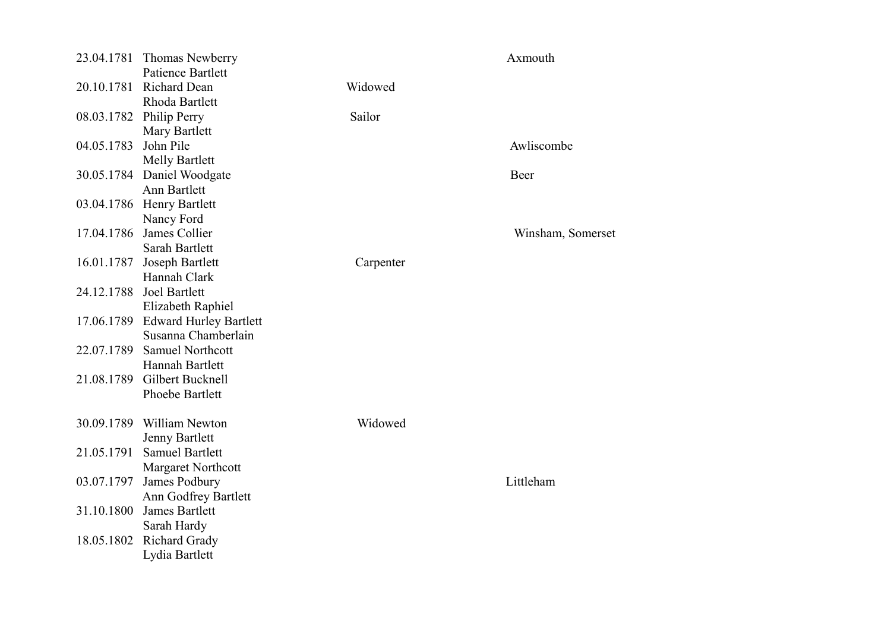|            | 23.04.1781 Thomas Newberry    |           | Axmouth           |
|------------|-------------------------------|-----------|-------------------|
|            | Patience Bartlett             |           |                   |
| 20.10.1781 | <b>Richard Dean</b>           | Widowed   |                   |
|            | Rhoda Bartlett                |           |                   |
|            | 08.03.1782 Philip Perry       | Sailor    |                   |
|            | Mary Bartlett                 |           |                   |
| 04.05.1783 | John Pile                     |           | Awliscombe        |
|            | <b>Melly Bartlett</b>         |           |                   |
|            | 30.05.1784 Daniel Woodgate    |           | Beer              |
|            | <b>Ann Bartlett</b>           |           |                   |
|            | 03.04.1786 Henry Bartlett     |           |                   |
|            | Nancy Ford                    |           |                   |
| 17.04.1786 | James Collier                 |           | Winsham, Somerset |
|            | Sarah Bartlett                |           |                   |
|            | 16.01.1787 Joseph Bartlett    | Carpenter |                   |
|            | Hannah Clark                  |           |                   |
| 24.12.1788 | Joel Bartlett                 |           |                   |
|            | Elizabeth Raphiel             |           |                   |
| 17.06.1789 | <b>Edward Hurley Bartlett</b> |           |                   |
|            | Susanna Chamberlain           |           |                   |
| 22.07.1789 | <b>Samuel Northcott</b>       |           |                   |
|            | Hannah Bartlett               |           |                   |
|            | 21.08.1789 Gilbert Bucknell   |           |                   |
|            | Phoebe Bartlett               |           |                   |
|            |                               |           |                   |
|            | 30.09.1789 William Newton     | Widowed   |                   |
|            | Jenny Bartlett                |           |                   |
| 21.05.1791 | <b>Samuel Bartlett</b>        |           |                   |
|            | <b>Margaret Northcott</b>     |           |                   |
| 03.07.1797 | James Podbury                 |           | Littleham         |
|            | Ann Godfrey Bartlett          |           |                   |
| 31.10.1800 | James Bartlett                |           |                   |
|            | Sarah Hardy                   |           |                   |
| 18.05.1802 | <b>Richard Grady</b>          |           |                   |
|            | Lydia Bartlett                |           |                   |
|            |                               |           |                   |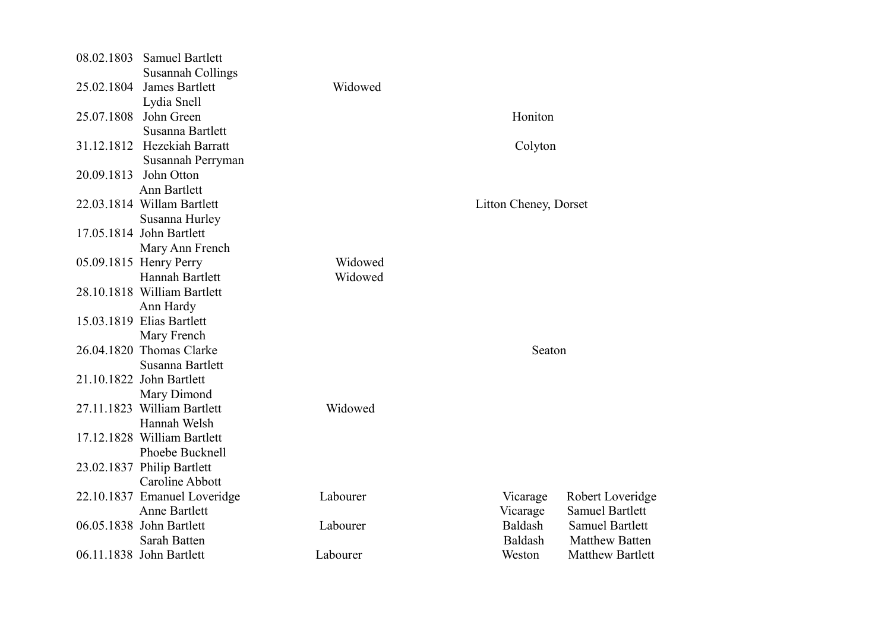| 08.02.1803 | <b>Samuel Bartlett</b>       |          |                                    |
|------------|------------------------------|----------|------------------------------------|
|            | <b>Susannah Collings</b>     |          |                                    |
| 25.02.1804 | <b>James Bartlett</b>        | Widowed  |                                    |
|            | Lydia Snell                  |          |                                    |
| 25.07.1808 | John Green                   |          | Honiton                            |
|            | Susanna Bartlett             |          |                                    |
|            | 31.12.1812 Hezekiah Barratt  |          | Colyton                            |
|            | Susannah Perryman            |          |                                    |
| 20.09.1813 | John Otton                   |          |                                    |
|            | Ann Bartlett                 |          |                                    |
|            | 22.03.1814 Willam Bartlett   |          | Litton Cheney, Dorset              |
|            | Susanna Hurley               |          |                                    |
|            | 17.05.1814 John Bartlett     |          |                                    |
|            | Mary Ann French              |          |                                    |
|            | 05.09.1815 Henry Perry       | Widowed  |                                    |
|            | Hannah Bartlett              | Widowed  |                                    |
|            | 28.10.1818 William Bartlett  |          |                                    |
|            | Ann Hardy                    |          |                                    |
|            | 15.03.1819 Elias Bartlett    |          |                                    |
|            | Mary French                  |          |                                    |
|            | 26.04.1820 Thomas Clarke     |          | Seaton                             |
|            | Susanna Bartlett             |          |                                    |
|            | 21.10.1822 John Bartlett     |          |                                    |
|            | Mary Dimond                  |          |                                    |
|            | 27.11.1823 William Bartlett  | Widowed  |                                    |
|            | Hannah Welsh                 |          |                                    |
|            | 17.12.1828 William Bartlett  |          |                                    |
|            | Phoebe Bucknell              |          |                                    |
|            | 23.02.1837 Philip Bartlett   |          |                                    |
|            | Caroline Abbott              |          |                                    |
|            | 22.10.1837 Emanuel Loveridge | Labourer | Vicarage<br>Robert Loveridge       |
|            | Anne Bartlett                |          | <b>Samuel Bartlett</b><br>Vicarage |
|            | 06.05.1838 John Bartlett     | Labourer | Baldash<br><b>Samuel Bartlett</b>  |
|            | Sarah Batten                 |          | Baldash<br><b>Matthew Batten</b>   |
|            | 06.11.1838 John Bartlett     | Labourer | Weston<br><b>Matthew Bartlett</b>  |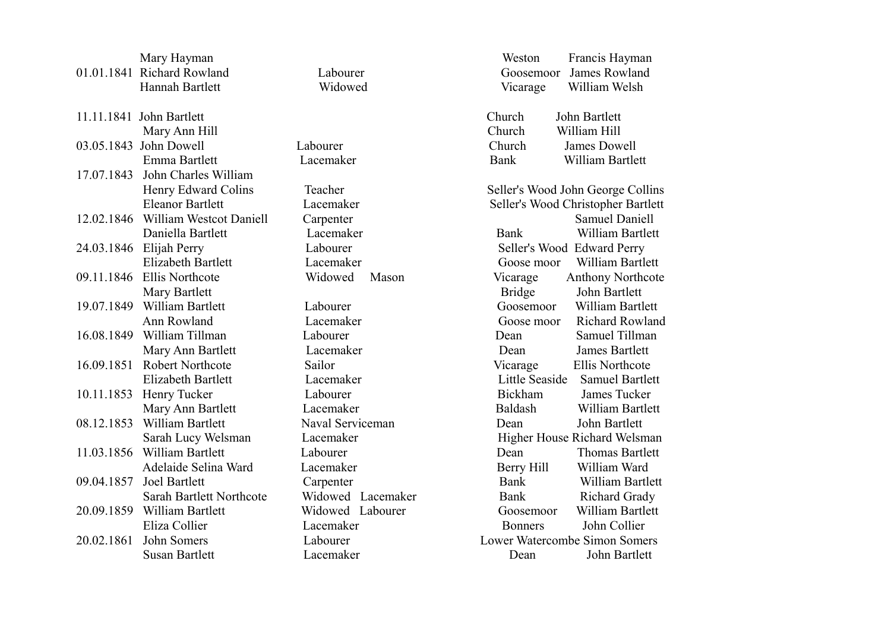|            | Mary Hayman                 |                   | Weston         | Francis Hayman                  |
|------------|-----------------------------|-------------------|----------------|---------------------------------|
|            | 01.01.1841 Richard Rowland  | Labourer          | Goosemoor      | James Rowland                   |
|            | Hannah Bartlett             | Widowed           | Vicarage       | William Welsh                   |
|            | 11.11.1841 John Bartlett    |                   | Church         | John Bartlett                   |
|            | Mary Ann Hill               |                   | Church         | William Hill                    |
|            | 03.05.1843 John Dowell      | Labourer          | Church         | James Dowell                    |
|            | Emma Bartlett               | Lacemaker         | Bank           | William Bartlett                |
| 17.07.1843 | John Charles William        |                   |                |                                 |
|            | Henry Edward Colins         | Teacher           |                | Seller's Wood John George Colli |
|            | <b>Eleanor Bartlett</b>     | Lacemaker         |                | Seller's Wood Christopher Bartl |
| 12.02.1846 | William Westcot Daniell     | Carpenter         |                | Samuel Daniel                   |
|            | Daniella Bartlett           | Lacemaker         | Bank           | William Bartle                  |
|            | 24.03.1846 Elijah Perry     | Labourer          |                | Seller's Wood Edward Perry      |
|            | Elizabeth Bartlett          | Lacemaker         | Goose moor     | William Bartle                  |
|            | 09.11.1846 Ellis Northcote  | Widowed<br>Mason  | Vicarage       | <b>Anthony Northco</b>          |
|            | Mary Bartlett               |                   | <b>Bridge</b>  | John Bartlett                   |
| 19.07.1849 | William Bartlett            | Labourer          | Goosemoor      | William Bartle                  |
|            | Ann Rowland                 | Lacemaker         | Goose moor     | Richard Rowla                   |
|            | 16.08.1849 William Tillman  | Labourer          | Dean           | Samuel Tillma                   |
|            | Mary Ann Bartlett           | Lacemaker         | Dean           | James Bartlett                  |
|            | 16.09.1851 Robert Northcote | Sailor            | Vicarage       | Ellis Northcote                 |
|            | Elizabeth Bartlett          | Lacemaker         | Little Seaside | Samuel Bartle                   |
|            | 10.11.1853 Henry Tucker     | Labourer          | Bickham        | James Tucker                    |
|            | Mary Ann Bartlett           | Lacemaker         | Baldash        | William Bartle                  |
| 08.12.1853 | William Bartlett            | Naval Serviceman  | Dean           | John Bartlett                   |
|            | Sarah Lucy Welsman          | Lacemaker         |                | Higher House Richard Welsma     |
|            | 11.03.1856 William Bartlett | Labourer          | Dean           | Thomas Bartle                   |
|            | Adelaide Selina Ward        | Lacemaker         | Berry Hill     | William Ward                    |
|            | 09.04.1857 Joel Bartlett    | Carpenter         | Bank           | William Bartle                  |
|            | Sarah Bartlett Northcote    | Widowed Lacemaker | Bank           | Richard Grad                    |
| 20.09.1859 | William Bartlett            | Widowed Labourer  | Goosemoor      | William Bartle                  |
|            | Eliza Collier               | Lacemaker         | <b>Bonners</b> | John Collier                    |
| 20.02.1861 | John Somers                 | Labourer          |                | Lower Watercombe Simon Somer    |
|            | Susan Bartlett              | Lacemaker         | Dean           | John Bartlett                   |

Weston Francis Hayman Goosemoor James Rowland Vicarage William Welsh 11.11.1841 John Bartlett Church John Bartlett Church William Hill Church James Dowell Bank William Bartlett Seller's Wood John George Collins Seller's Wood Christopher Bartlett Samuel Daniell Bank William Bartlett Seller's Wood Edward Perry Goose moor William Bartlett Vicarage Anthony Northcote Bridge John Bartlett 19.07.1849 William Bartlett Labourer Goosemoor William Bartlett Goose moor Richard Rowland Dean Samuel Tillman Dean James Bartlett Vicarage Ellis Northcote Little Seaside Samuel Bartlett 10.11.19 Bickham James Tucker Baldash William Bartlett Higher House Richard Welsman

Dean Thomas Bartlett Berry Hill William Ward Bank William Bartlett Bank Richard Grady Goosemoor William Bartlett Lower Watercombe Simon Somers